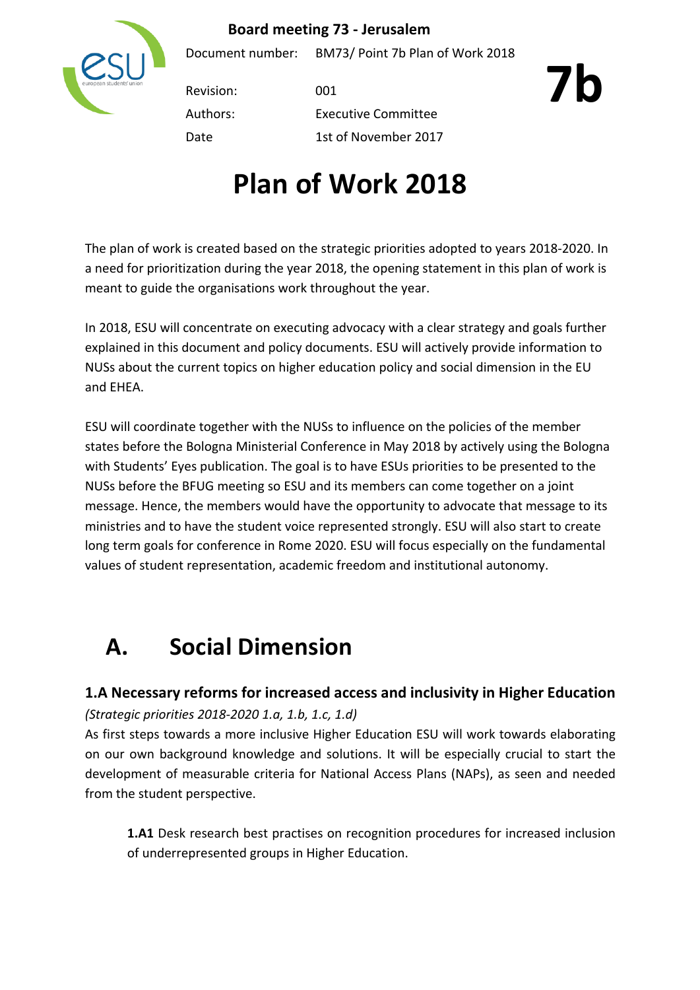## **Board meeting 73 - Jerusalem**



Document number: BM73/ Point 7b Plan of Work 2018

Revision: 001

Authors: Executive Committee Date 1st of November 2017 **7b**

The plan of work is created based on the strategic priorities adopted to years 2018-2020. In a need for prioritization during the year 2018, the opening statement in this plan of work is meant to guide the organisations work throughout the year.

In 2018, ESU will concentrate on executing advocacy with a clear strategy and goals further explained in this document and policy documents. ESU will actively provide information to NUSs about the current topics on higher education policy and social dimension in the EU and **FHFA** 

ESU will coordinate together with the NUSs to influence on the policies of the member states before the Bologna Ministerial Conference in May 2018 by actively using the Bologna with Students' Eyes publication. The goal is to have ESUs priorities to be presented to the NUSs before the BFUG meeting so ESU and its members can come together on a joint message. Hence, the members would have the opportunity to advocate that message to its ministries and to have the student voice represented strongly. ESU will also start to create long term goals for conference in Rome 2020. ESU will focus especially on the fundamental values of student representation, academic freedom and institutional autonomy.

## **A. Social Dimension**

## **1.A Necessary reforms for increased access and inclusivity in Higher Education** *(Strategic priorities 2018-2020 1.a, 1.b, 1.c, 1.d)*

As first steps towards a more inclusive Higher Education ESU will work towards elaborating on our own background knowledge and solutions. It will be especially crucial to start the development of measurable criteria for National Access Plans (NAPs), as seen and needed from the student perspective.

**1.A1** Desk research best practises on recognition procedures for increased inclusion of underrepresented groups in Higher Education.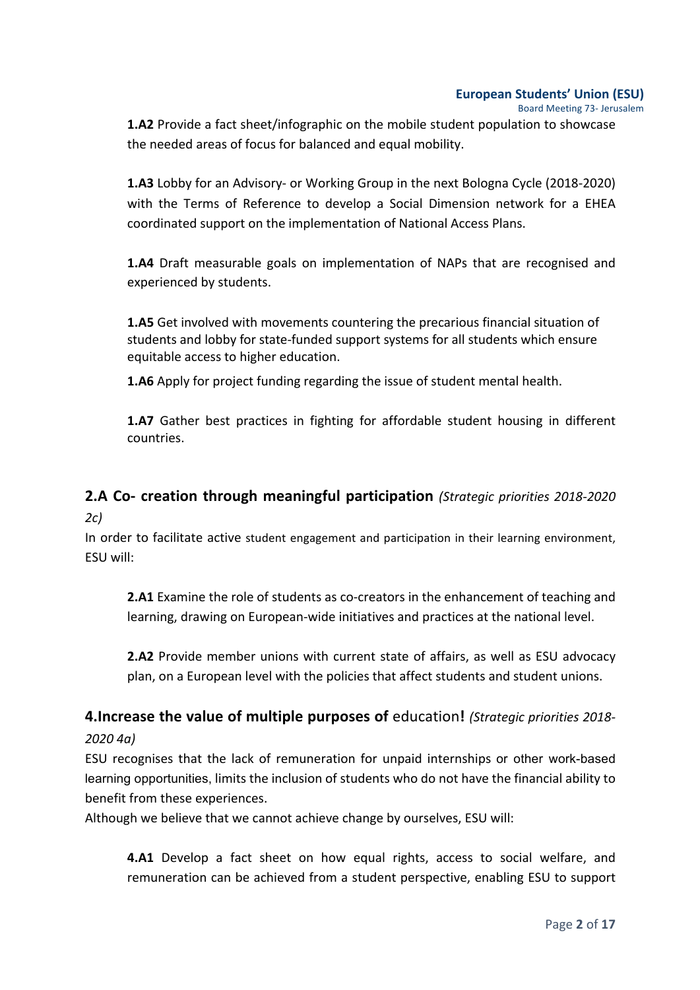Board Meeting 73- Jerusalem 

**1.A2** Provide a fact sheet/infographic on the mobile student population to showcase the needed areas of focus for balanced and equal mobility.

**1.A3** Lobby for an Advisory- or Working Group in the next Bologna Cycle (2018-2020) with the Terms of Reference to develop a Social Dimension network for a EHEA coordinated support on the implementation of National Access Plans.

**1.A4** Draft measurable goals on implementation of NAPs that are recognised and experienced by students.

**1.A5** Get involved with movements countering the precarious financial situation of students and lobby for state-funded support systems for all students which ensure equitable access to higher education.

**1.A6** Apply for project funding regarding the issue of student mental health.

**1.A7** Gather best practices in fighting for affordable student housing in different countries.

# **2.A Co- creation through meaningful participation** *(Strategic priorities 2018-2020*

*2c)*

In order to facilitate active student engagement and participation in their learning environment, ESU will: 

**2.A1** Examine the role of students as co-creators in the enhancement of teaching and learning, drawing on European-wide initiatives and practices at the national level.

**2.A2** Provide member unions with current state of affairs, as well as ESU advocacy plan, on a European level with the policies that affect students and student unions.

## **4.Increase the value of multiple purposes of education!** (Strategic priorities 2018-

## *2020 4a)*

ESU recognises that the lack of remuneration for unpaid internships or other work-based learning opportunities, limits the inclusion of students who do not have the financial ability to benefit from these experiences.

Although we believe that we cannot achieve change by ourselves, ESU will:

**4.A1** Develop a fact sheet on how equal rights, access to social welfare, and remuneration can be achieved from a student perspective, enabling ESU to support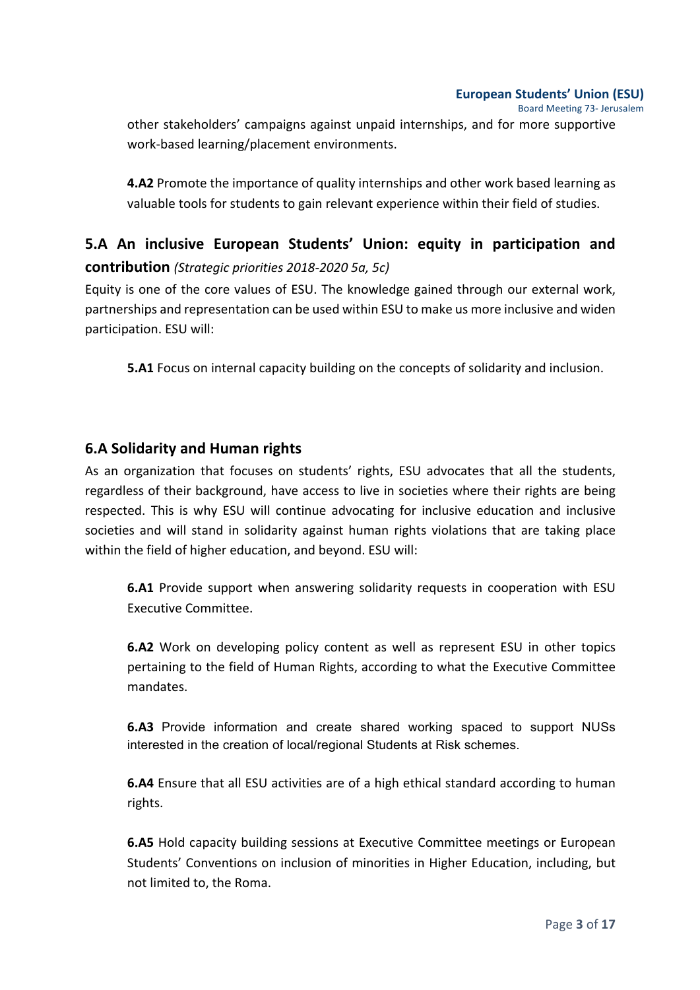Board Meeting 73- Jerusalem 

other stakeholders' campaigns against unpaid internships, and for more supportive work-based learning/placement environments.

**4.A2** Promote the importance of quality internships and other work based learning as valuable tools for students to gain relevant experience within their field of studies.

## **5.A** An inclusive European Students' Union: equity in participation and **contribution** (Strategic priorities 2018-2020 5a, 5c)

Equity is one of the core values of ESU. The knowledge gained through our external work, partnerships and representation can be used within ESU to make us more inclusive and widen participation. ESU will: 

**5.A1** Focus on internal capacity building on the concepts of solidarity and inclusion.

## **6.A Solidarity and Human rights**

As an organization that focuses on students' rights, ESU advocates that all the students, regardless of their background, have access to live in societies where their rights are being respected. This is why ESU will continue advocating for inclusive education and inclusive societies and will stand in solidarity against human rights violations that are taking place within the field of higher education, and beyond. ESU will:

**6.A1** Provide support when answering solidarity requests in cooperation with ESU Executive Committee.

**6.A2** Work on developing policy content as well as represent ESU in other topics pertaining to the field of Human Rights, according to what the Executive Committee mandates. 

**6.A3** Provide information and create shared working spaced to support NUSs interested in the creation of local/regional Students at Risk schemes.

**6.A4** Ensure that all ESU activities are of a high ethical standard according to human rights.

**6.A5** Hold capacity building sessions at Executive Committee meetings or European Students' Conventions on inclusion of minorities in Higher Education, including, but not limited to, the Roma.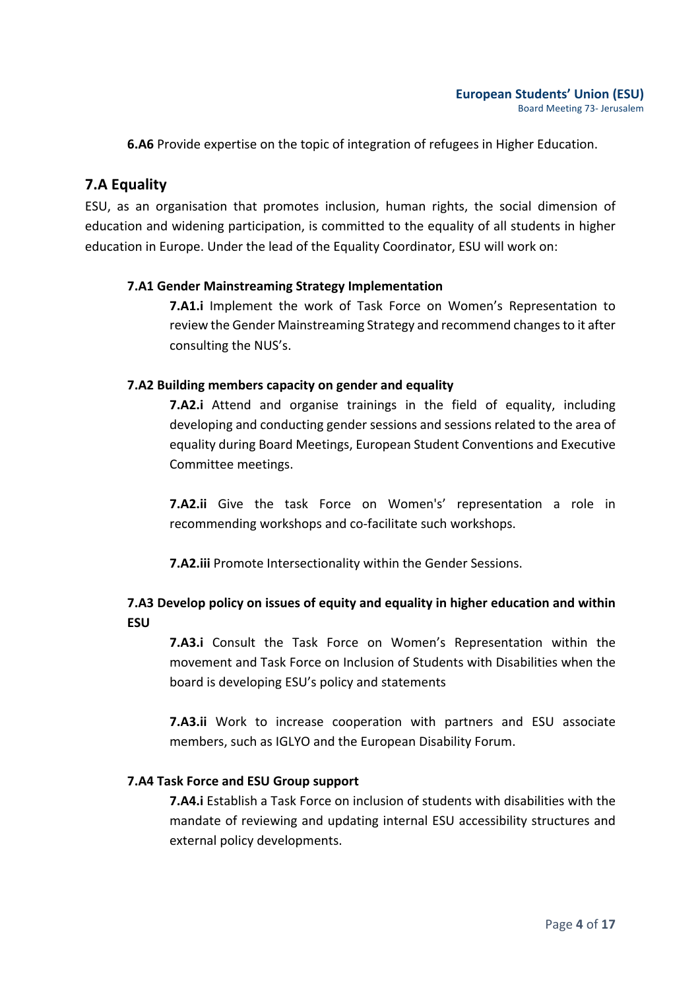**6.A6** Provide expertise on the topic of integration of refugees in Higher Education.

## **7.A Equality**

ESU, as an organisation that promotes inclusion, human rights, the social dimension of education and widening participation, is committed to the equality of all students in higher education in Europe. Under the lead of the Equality Coordinator, ESU will work on:

### **7.A1 Gender Mainstreaming Strategy Implementation**

**7.A1.i** Implement the work of Task Force on Women's Representation to review the Gender Mainstreaming Strategy and recommend changes to it after consulting the NUS's.

### **7.A2 Building members capacity on gender and equality**

**7.A2.i** Attend and organise trainings in the field of equality, including developing and conducting gender sessions and sessions related to the area of equality during Board Meetings, European Student Conventions and Executive Committee meetings.

**7.A2.ii** Give the task Force on Women's' representation a role in recommending workshops and co-facilitate such workshops.

**7.A2.iii** Promote Intersectionality within the Gender Sessions.

## **7.A3** Develop policy on issues of equity and equality in higher education and within **ESU**

**7.A3.i** Consult the Task Force on Women's Representation within the movement and Task Force on Inclusion of Students with Disabilities when the board is developing ESU's policy and statements

**7.A3.ii** Work to increase cooperation with partners and ESU associate members, such as IGLYO and the European Disability Forum.

### **7.A4 Task Force and ESU Group support**

**7.A4.i** Establish a Task Force on inclusion of students with disabilities with the mandate of reviewing and updating internal ESU accessibility structures and external policy developments.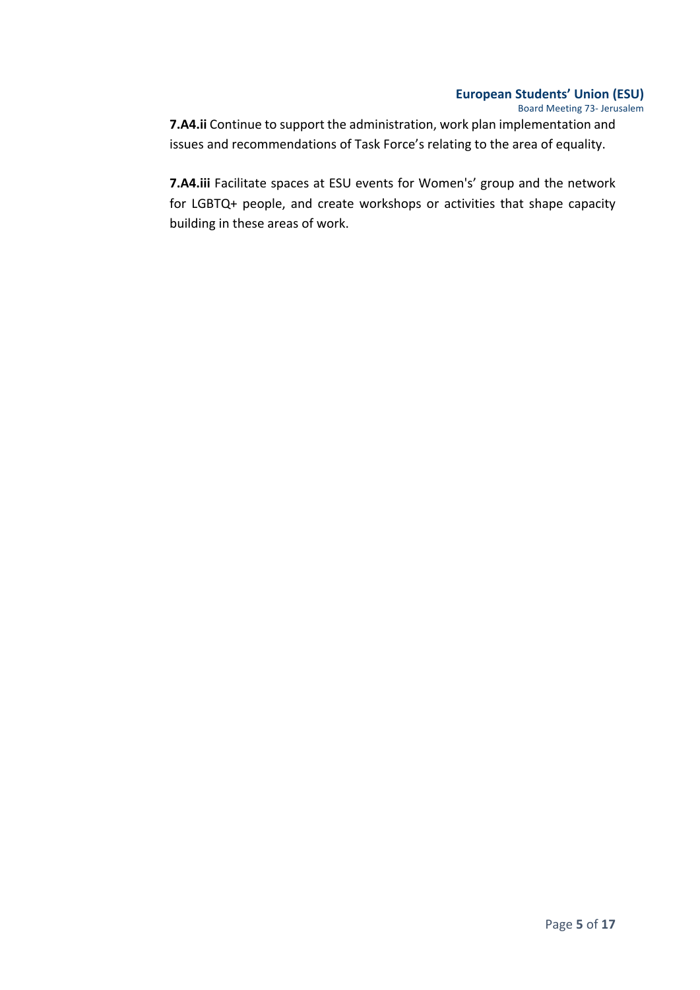Board Meeting 73- Jerusalem

**7.A4.ii** Continue to support the administration, work plan implementation and issues and recommendations of Task Force's relating to the area of equality.

**7.A4.iii** Facilitate spaces at ESU events for Women's' group and the network for LGBTQ+ people, and create workshops or activities that shape capacity building in these areas of work.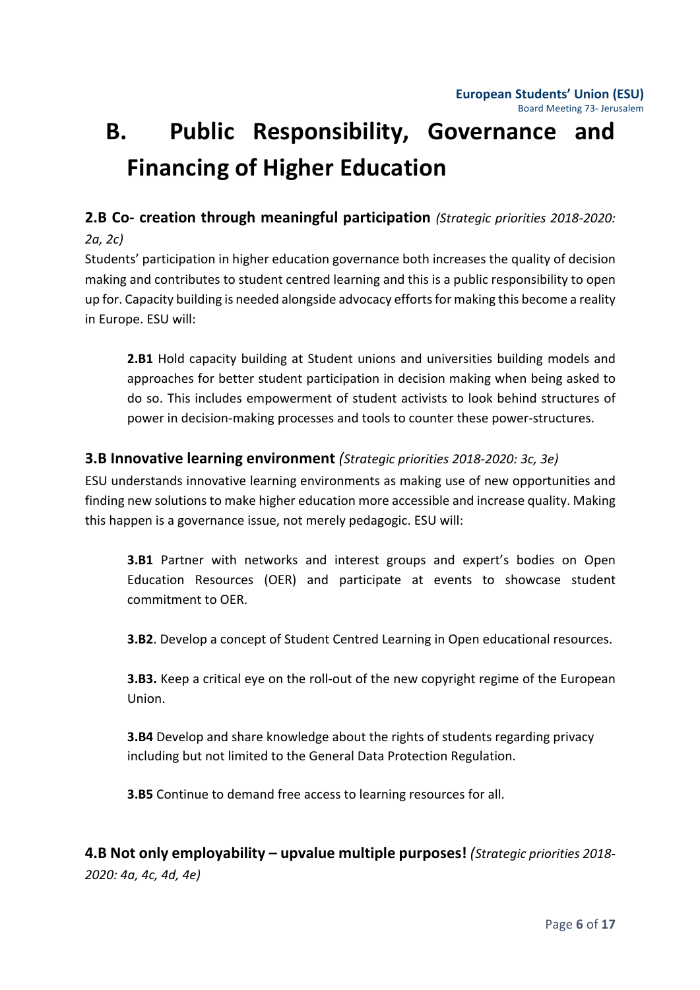# **B.** Public Responsibility, Governance and **Financing of Higher Education**

## **2.B Co- creation through meaningful participation** (Strategic priorities 2018-2020:

## *2a, 2c)*

Students' participation in higher education governance both increases the quality of decision making and contributes to student centred learning and this is a public responsibility to open up for. Capacity building is needed alongside advocacy efforts for making this become a reality in Europe. ESU will:

**2.B1** Hold capacity building at Student unions and universities building models and approaches for better student participation in decision making when being asked to do so. This includes empowerment of student activists to look behind structures of power in decision-making processes and tools to counter these power-structures.

## **3.B Innovative learning environment** *(Strategic priorities 2018-2020: 3c, 3e)*

ESU understands innovative learning environments as making use of new opportunities and finding new solutions to make higher education more accessible and increase quality. Making this happen is a governance issue, not merely pedagogic. ESU will:

**3.B1** Partner with networks and interest groups and expert's bodies on Open Education Resources (OER) and participate at events to showcase student commitment to OER.

**3.B2**. Develop a concept of Student Centred Learning in Open educational resources.

**3.B3.** Keep a critical eye on the roll-out of the new copyright regime of the European Union.

**3.B4** Develop and share knowledge about the rights of students regarding privacy including but not limited to the General Data Protection Regulation.

**3.B5** Continue to demand free access to learning resources for all.

**4.B Not only employability – upvalue multiple purposes!** (Strategic priorities 2018-*2020: 4a, 4c, 4d, 4e)*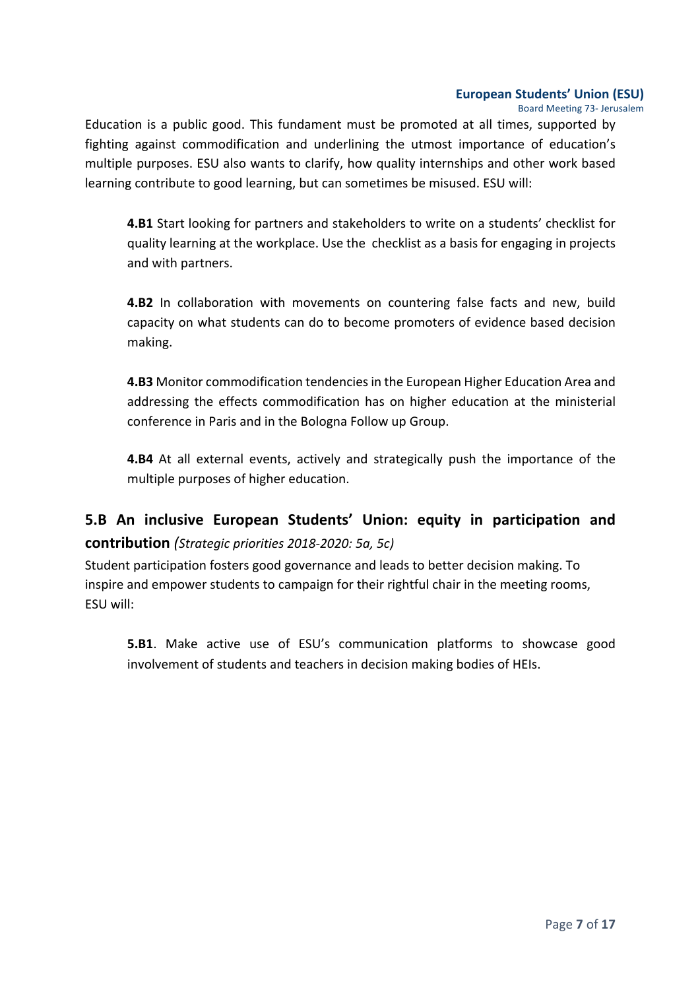Board Meeting 73- Jerusalem 

Education is a public good. This fundament must be promoted at all times, supported by fighting against commodification and underlining the utmost importance of education's multiple purposes. ESU also wants to clarify, how quality internships and other work based learning contribute to good learning, but can sometimes be misused. ESU will:

**4.B1** Start looking for partners and stakeholders to write on a students' checklist for quality learning at the workplace. Use the checklist as a basis for engaging in projects and with partners.

**4.B2** In collaboration with movements on countering false facts and new, build capacity on what students can do to become promoters of evidence based decision making.

**4.B3** Monitor commodification tendencies in the European Higher Education Area and addressing the effects commodification has on higher education at the ministerial conference in Paris and in the Bologna Follow up Group.

**4.B4** At all external events, actively and strategically push the importance of the multiple purposes of higher education.

## **5.B An inclusive European Students' Union: equity in participation and contribution** (Strategic priorities 2018-2020: 5a, 5c)

Student participation fosters good governance and leads to better decision making. To inspire and empower students to campaign for their rightful chair in the meeting rooms, ESU will:

**5.B1**. Make active use of ESU's communication platforms to showcase good involvement of students and teachers in decision making bodies of HEIs.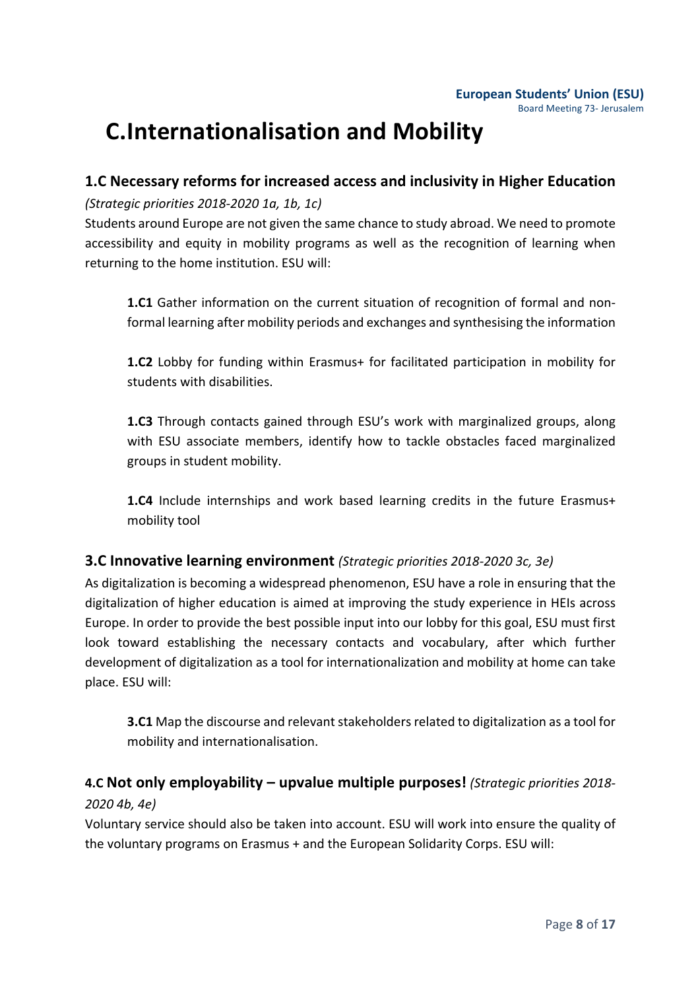## **C.Internationalisation and Mobility**

## **1.C Necessary reforms for increased access and inclusivity in Higher Education**

*(Strategic priorities 2018-2020 1a, 1b, 1c)*

Students around Europe are not given the same chance to study abroad. We need to promote accessibility and equity in mobility programs as well as the recognition of learning when returning to the home institution. ESU will:

**1.C1** Gather information on the current situation of recognition of formal and nonformal learning after mobility periods and exchanges and synthesising the information

**1.C2** Lobby for funding within Erasmus+ for facilitated participation in mobility for students with disabilities.

**1.C3** Through contacts gained through ESU's work with marginalized groups, along with ESU associate members, identify how to tackle obstacles faced marginalized groups in student mobility.

**1.C4** Include internships and work based learning credits in the future Erasmus+ mobility tool

## **3.C Innovative learning environment** *(Strategic priorities 2018-2020 3c, 3e)*

As digitalization is becoming a widespread phenomenon, ESU have a role in ensuring that the digitalization of higher education is aimed at improving the study experience in HEIs across Europe. In order to provide the best possible input into our lobby for this goal, ESU must first look toward establishing the necessary contacts and vocabulary, after which further development of digitalization as a tool for internationalization and mobility at home can take place. ESU will:

**3.C1** Map the discourse and relevant stakeholders related to digitalization as a tool for mobility and internationalisation.

## **4.C Not only employability – upvalue multiple purposes!** *(Strategic priorities 2018- 2020 4b, 4e)*

Voluntary service should also be taken into account. ESU will work into ensure the quality of the voluntary programs on Erasmus + and the European Solidarity Corps. ESU will: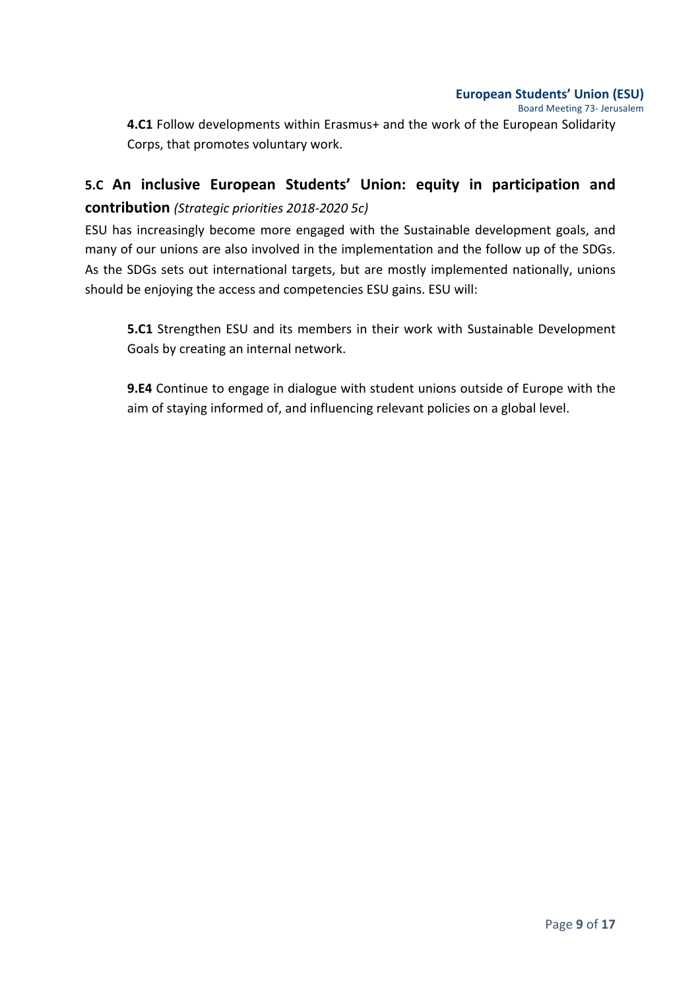Board Meeting 73- Jerusalem 

**4.C1** Follow developments within Erasmus+ and the work of the European Solidarity Corps, that promotes voluntary work.

## **5.C An inclusive European Students' Union: equity in participation and contribution** *(Strategic priorities 2018-2020 5c)*

ESU has increasingly become more engaged with the Sustainable development goals, and many of our unions are also involved in the implementation and the follow up of the SDGs. As the SDGs sets out international targets, but are mostly implemented nationally, unions should be enjoying the access and competencies ESU gains. ESU will:

**5.C1** Strengthen ESU and its members in their work with Sustainable Development Goals by creating an internal network.

**9.E4** Continue to engage in dialogue with student unions outside of Europe with the aim of staying informed of, and influencing relevant policies on a global level.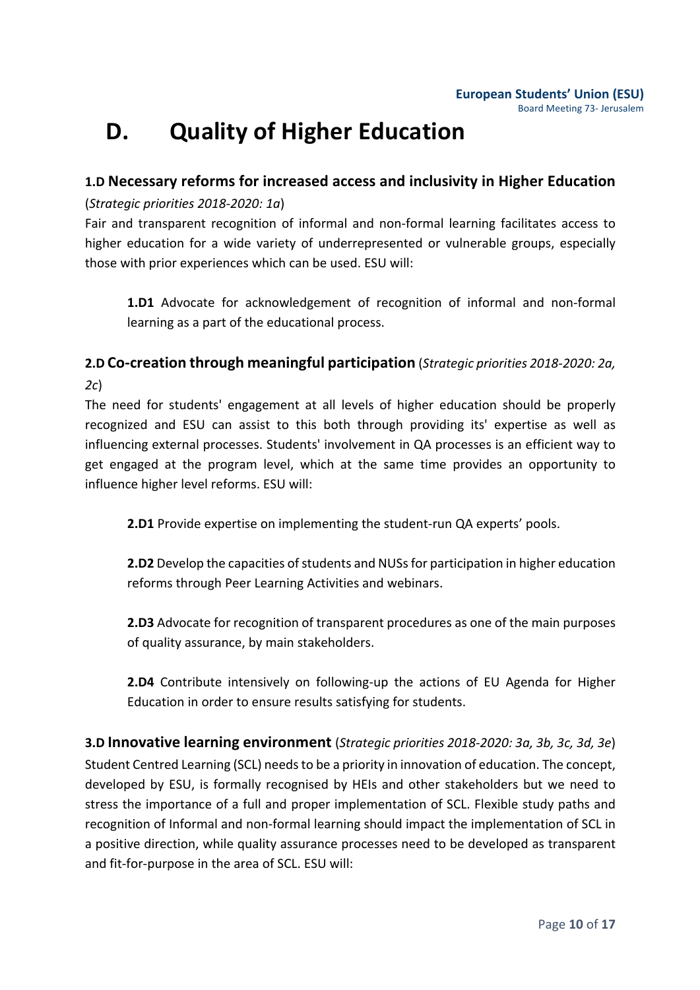## **D.** Quality of Higher Education

## **1.D Necessary reforms for increased access and inclusivity in Higher Education**

## (*Strategic priorities 2018-2020: 1a*)

Fair and transparent recognition of informal and non-formal learning facilitates access to higher education for a wide variety of underrepresented or vulnerable groups, especially those with prior experiences which can be used. ESU will:

**1.D1** Advocate for acknowledgement of recognition of informal and non-formal learning as a part of the educational process.

## **2.D Co-creation through meaningful participation** (*Strategic priorities 2018-2020: 2a, 2c*)

The need for students' engagement at all levels of higher education should be properly recognized and ESU can assist to this both through providing its' expertise as well as influencing external processes. Students' involvement in QA processes is an efficient way to get engaged at the program level, which at the same time provides an opportunity to influence higher level reforms. ESU will:

**2.D1** Provide expertise on implementing the student-run QA experts' pools.

**2.D2** Develop the capacities of students and NUSs for participation in higher education reforms through Peer Learning Activities and webinars.

**2.D3** Advocate for recognition of transparent procedures as one of the main purposes of quality assurance, by main stakeholders.

**2.D4** Contribute intensively on following-up the actions of EU Agenda for Higher Education in order to ensure results satisfying for students.

**3.D Innovative learning environment** (*Strategic priorities 2018-2020: 3a, 3b, 3c, 3d, 3e*) Student Centred Learning (SCL) needs to be a priority in innovation of education. The concept, developed by ESU, is formally recognised by HEIs and other stakeholders but we need to stress the importance of a full and proper implementation of SCL. Flexible study paths and recognition of Informal and non-formal learning should impact the implementation of SCL in a positive direction, while quality assurance processes need to be developed as transparent and fit-for-purpose in the area of SCL. ESU will: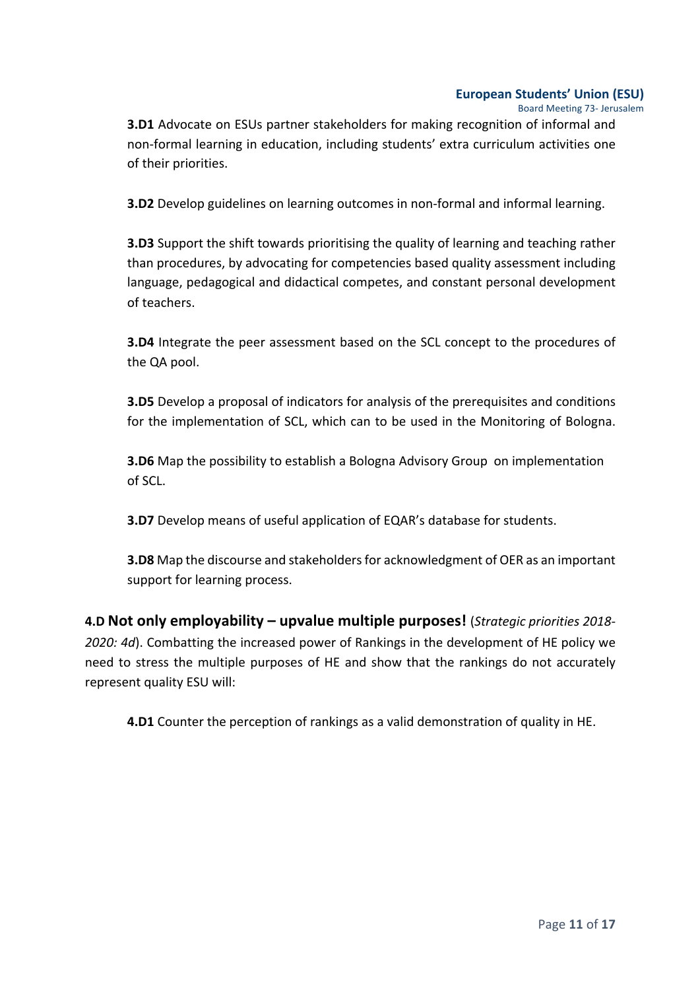Board Meeting 73- Jerusalem 

**3.D1** Advocate on ESUs partner stakeholders for making recognition of informal and non-formal learning in education, including students' extra curriculum activities one of their priorities.

**3.D2** Develop guidelines on learning outcomes in non-formal and informal learning.

**3.D3** Support the shift towards prioritising the quality of learning and teaching rather than procedures, by advocating for competencies based quality assessment including language, pedagogical and didactical competes, and constant personal development of teachers.

**3.D4** Integrate the peer assessment based on the SCL concept to the procedures of the QA pool.

**3.D5** Develop a proposal of indicators for analysis of the prerequisites and conditions for the implementation of SCL, which can to be used in the Monitoring of Bologna.

**3.D6** Map the possibility to establish a Bologna Advisory Group on implementation of SCL.

**3.D7** Develop means of useful application of EQAR's database for students.

**3.D8** Map the discourse and stakeholders for acknowledgment of OER as an important support for learning process.

**4.D Not only employability – upvalue multiple purposes!** (*Strategic priorities 2018-2020: 4d*). Combatting the increased power of Rankings in the development of HE policy we need to stress the multiple purposes of HE and show that the rankings do not accurately represent quality ESU will:

**4.D1** Counter the perception of rankings as a valid demonstration of quality in HE.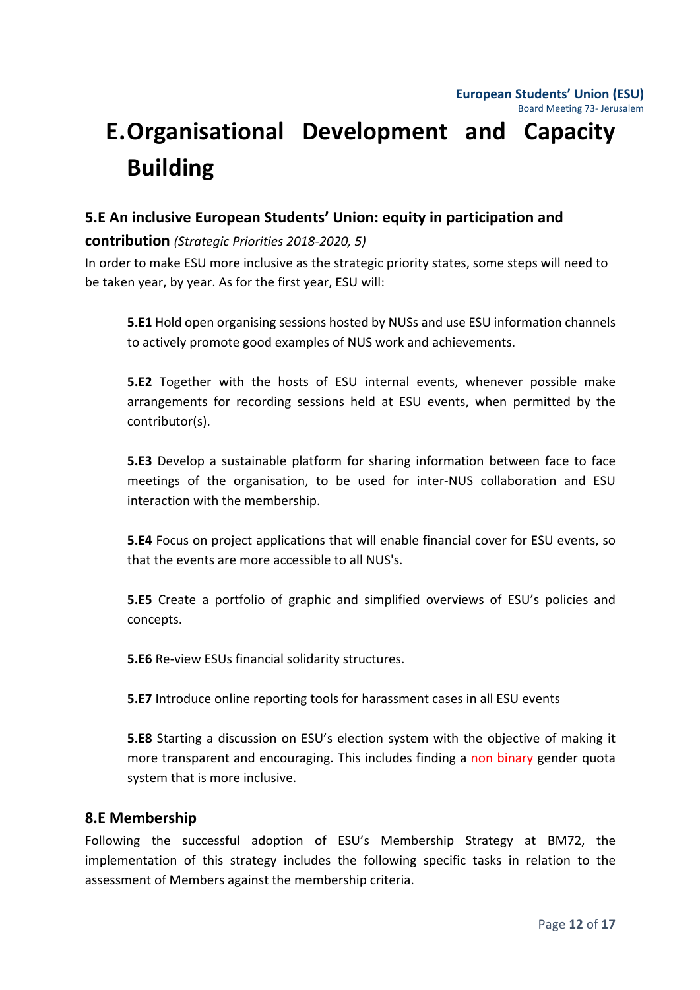# **E.Organisational Development and Capacity Building**

## **5.E** An inclusive European Students' Union: equity in participation and

## **contribution** *(Strategic Priorities 2018-2020, 5)*

In order to make ESU more inclusive as the strategic priority states, some steps will need to be taken year, by year. As for the first year, ESU will:

**5.E1** Hold open organising sessions hosted by NUSs and use ESU information channels to actively promote good examples of NUS work and achievements.

**5.E2** Together with the hosts of ESU internal events, whenever possible make arrangements for recording sessions held at ESU events, when permitted by the contributor(s).

**5.E3** Develop a sustainable platform for sharing information between face to face meetings of the organisation, to be used for inter-NUS collaboration and ESU interaction with the membership.

**5.E4** Focus on project applications that will enable financial cover for ESU events, so that the events are more accessible to all NUS's.

**5.E5** Create a portfolio of graphic and simplified overviews of ESU's policies and concepts.

**5.E6** Re-view ESUs financial solidarity structures.

**5.E7** Introduce online reporting tools for harassment cases in all ESU events

**5.E8** Starting a discussion on ESU's election system with the objective of making it more transparent and encouraging. This includes finding a non binary gender quota system that is more inclusive.

## **8.E Membership**

Following the successful adoption of ESU's Membership Strategy at BM72, the implementation of this strategy includes the following specific tasks in relation to the assessment of Members against the membership criteria.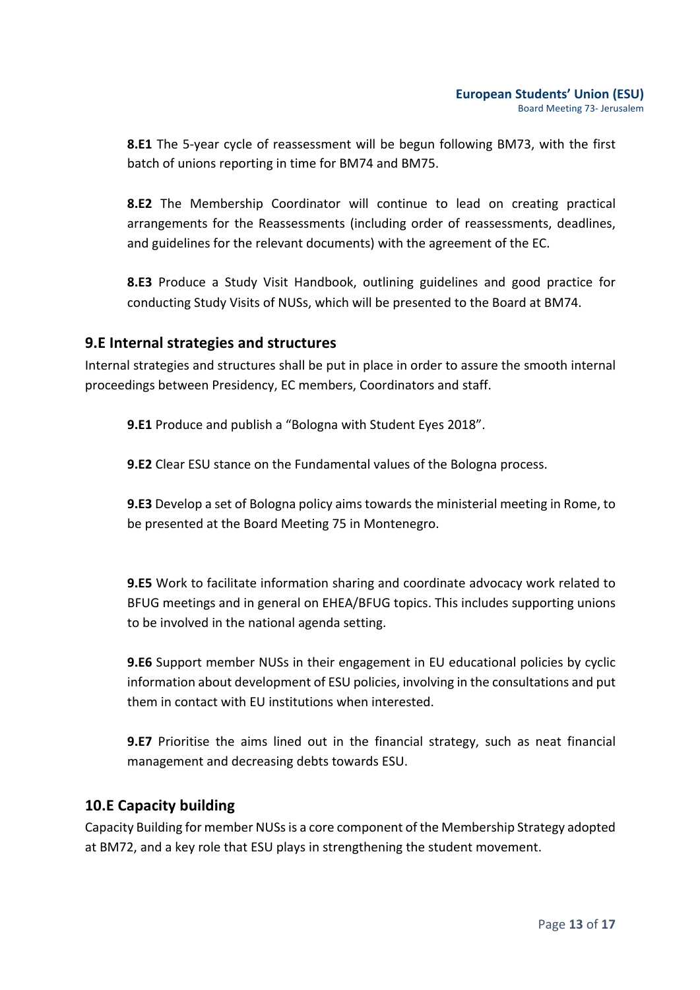**8.E1** The 5-year cycle of reassessment will be begun following BM73, with the first batch of unions reporting in time for BM74 and BM75.

**8.E2** The Membership Coordinator will continue to lead on creating practical arrangements for the Reassessments (including order of reassessments, deadlines, and guidelines for the relevant documents) with the agreement of the EC.

**8.E3** Produce a Study Visit Handbook, outlining guidelines and good practice for conducting Study Visits of NUSs, which will be presented to the Board at BM74.

## **9.E** Internal strategies and structures

Internal strategies and structures shall be put in place in order to assure the smooth internal proceedings between Presidency, EC members, Coordinators and staff.

**9.E1** Produce and publish a "Bologna with Student Eyes 2018".

**9.E2** Clear ESU stance on the Fundamental values of the Bologna process.

**9.E3** Develop a set of Bologna policy aims towards the ministerial meeting in Rome, to be presented at the Board Meeting 75 in Montenegro.

**9.E5** Work to facilitate information sharing and coordinate advocacy work related to BFUG meetings and in general on EHEA/BFUG topics. This includes supporting unions to be involved in the national agenda setting.

**9.E6** Support member NUSs in their engagement in EU educational policies by cyclic information about development of ESU policies, involving in the consultations and put them in contact with EU institutions when interested.

**9.E7** Prioritise the aims lined out in the financial strategy, such as neat financial management and decreasing debts towards ESU.

### **10.E Capacity building**

Capacity Building for member NUSs is a core component of the Membership Strategy adopted at BM72, and a key role that ESU plays in strengthening the student movement.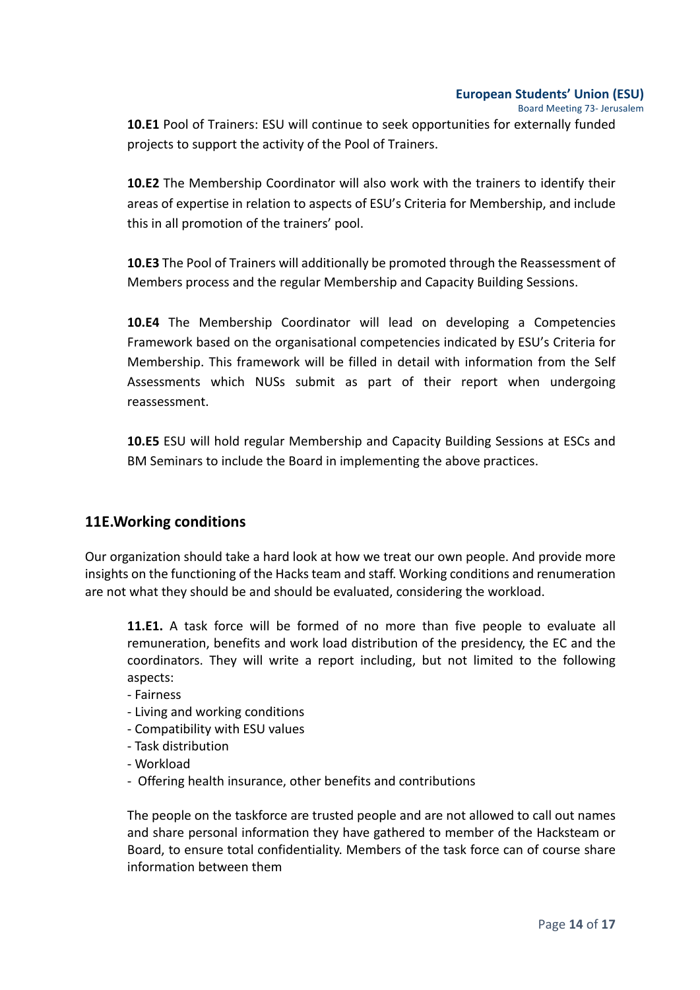Board Meeting 73- Jerusalem 

**10.E1** Pool of Trainers: ESU will continue to seek opportunities for externally funded projects to support the activity of the Pool of Trainers.

**10.E2** The Membership Coordinator will also work with the trainers to identify their areas of expertise in relation to aspects of ESU's Criteria for Membership, and include this in all promotion of the trainers' pool.

**10.E3** The Pool of Trainers will additionally be promoted through the Reassessment of Members process and the regular Membership and Capacity Building Sessions.

**10.E4** The Membership Coordinator will lead on developing a Competencies Framework based on the organisational competencies indicated by ESU's Criteria for Membership. This framework will be filled in detail with information from the Self Assessments which NUSs submit as part of their report when undergoing reassessment.

**10.E5** ESU will hold regular Membership and Capacity Building Sessions at ESCs and BM Seminars to include the Board in implementing the above practices.

## **11E. Working conditions**

Our organization should take a hard look at how we treat our own people. And provide more insights on the functioning of the Hacks team and staff. Working conditions and renumeration are not what they should be and should be evaluated, considering the workload.

**11.E1.** A task force will be formed of no more than five people to evaluate all remuneration, benefits and work load distribution of the presidency, the EC and the coordinators. They will write a report including, but not limited to the following aspects:

- Fairness
- Living and working conditions
- Compatibility with ESU values
- Task distribution
- Workload
- Offering health insurance, other benefits and contributions

The people on the taskforce are trusted people and are not allowed to call out names and share personal information they have gathered to member of the Hacksteam or Board, to ensure total confidentiality. Members of the task force can of course share information between them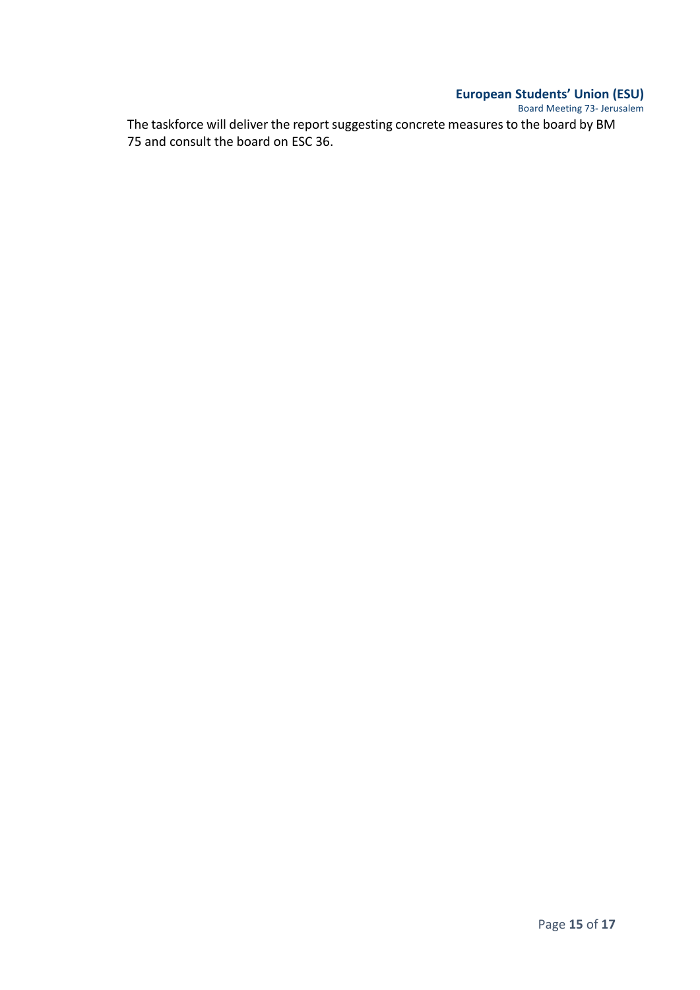Board Meeting 73- Jerusalem The taskforce will deliver the report suggesting concrete measures to the board by BM 75 and consult the board on ESC 36.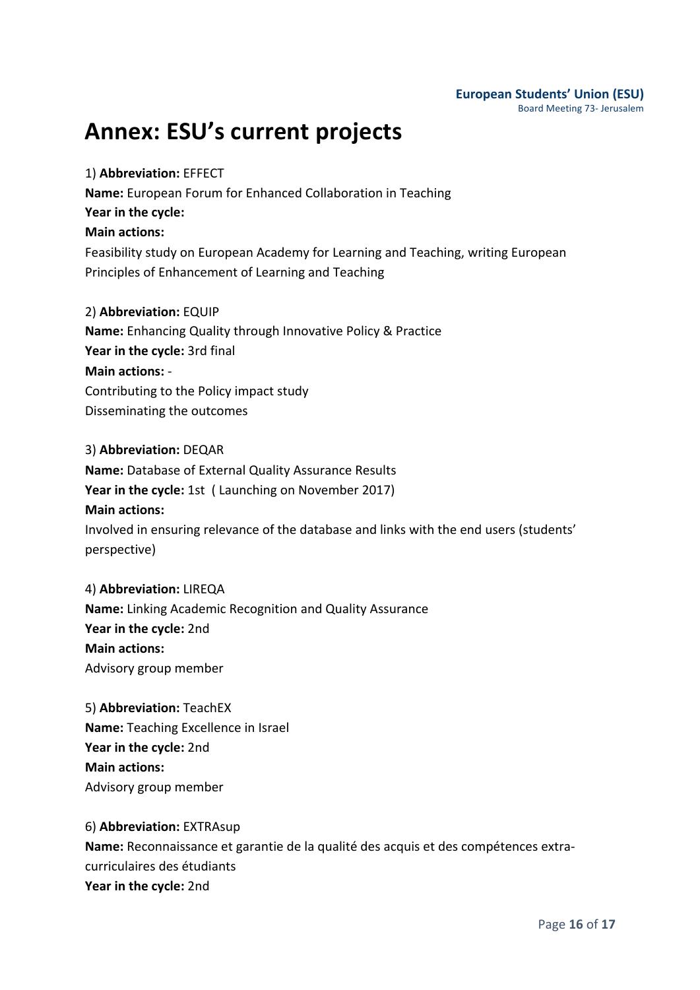#### **European Students' Union (ESU)** Board Meeting 73- Jerusalem

## **Annex: ESU's current projects**

## 1) **Abbreviation:** EFFECT

**Name:** European Forum for Enhanced Collaboration in Teaching **Year in the cycle: Main actions:** Feasibility study on European Academy for Learning and Teaching, writing European Principles of Enhancement of Learning and Teaching

### 2) **Abbreviation:** EQUIP

**Name:** Enhancing Quality through Innovative Policy & Practice Year in the cycle: 3rd final **Main actions: -**Contributing to the Policy impact study Disseminating the outcomes

## 3) **Abbreviation:** DEQAR

**Name:** Database of External Quality Assurance Results **Year in the cycle:** 1st ( Launching on November 2017) **Main actions:** Involved in ensuring relevance of the database and links with the end users (students' perspective) 

### 4) **Abbreviation:** LIREQA

**Name:** Linking Academic Recognition and Quality Assurance Year in the cycle: 2nd **Main actions:** Advisory group member

5) **Abbreviation:** TeachEX **Name:** Teaching Excellence in Israel **Year in the cycle: 2nd Main actions:** Advisory group member

## 6) **Abbreviation:** EXTRAsup Name: Reconnaissance et garantie de la qualité des acquis et des compétences extracurriculaires des étudiants Year in the cycle: 2nd